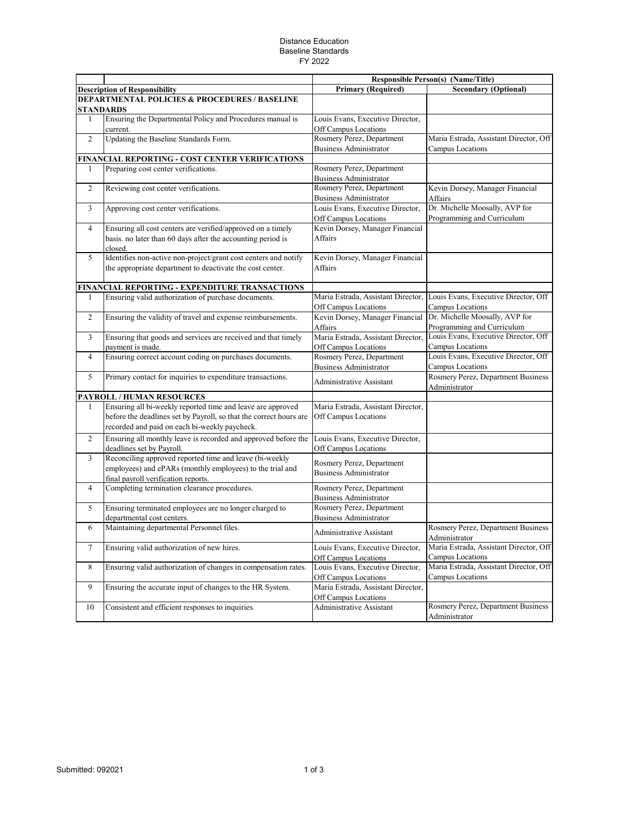## Distance Education Baseline Standards FY 2022

|                |                                                                                                                                                                                    | Responsible Person(s) (Name/Title)                         |                                                              |
|----------------|------------------------------------------------------------------------------------------------------------------------------------------------------------------------------------|------------------------------------------------------------|--------------------------------------------------------------|
|                | <b>Description of Responsibility</b>                                                                                                                                               | <b>Primary (Required)</b>                                  | <b>Secondary (Optional)</b>                                  |
|                | <b>DEPARTMENTAL POLICIES &amp; PROCEDURES / BASELINE</b><br><b>STANDARDS</b>                                                                                                       |                                                            |                                                              |
| 1              | Ensuring the Departmental Policy and Procedures manual is<br>current.                                                                                                              | Louis Evans, Executive Director,<br>Off Campus Locations   |                                                              |
| 2              | Updating the Baseline Standards Form.                                                                                                                                              | Rosmery Perez, Department<br><b>Business Administrator</b> | Maria Estrada, Assistant Director, Off<br>Campus Locations   |
|                | FINANCIAL REPORTING - COST CENTER VERIFICATIONS                                                                                                                                    |                                                            |                                                              |
| 1              | Preparing cost center verifications.                                                                                                                                               | Rosmery Perez, Department<br><b>Business Administrator</b> |                                                              |
| $\overline{2}$ | Reviewing cost center verifications.                                                                                                                                               | Rosmery Perez, Department<br><b>Business Administrator</b> | Kevin Dorsey, Manager Financial<br>Affairs                   |
| 3              | Approving cost center verifications.                                                                                                                                               | Louis Evans, Executive Director,<br>Off Campus Locations   | Dr. Michelle Moosally, AVP for<br>Programming and Curriculum |
| $\overline{4}$ | Ensuring all cost centers are verified/approved on a timely<br>basis. no later than 60 days after the accounting period is<br>closed.                                              | Kevin Dorsey, Manager Financial<br>Affairs                 |                                                              |
| 5              | Identifies non-active non-project/grant cost centers and notify<br>the appropriate department to deactivate the cost center.                                                       | Kevin Dorsey, Manager Financial<br>Affairs                 |                                                              |
|                | FINANCIAL REPORTING - EXPENDITURE TRANSACTIONS                                                                                                                                     |                                                            |                                                              |
| 1              | Ensuring valid authorization of purchase documents.                                                                                                                                | Maria Estrada, Assistant Director,<br>Off Campus Locations | Louis Evans, Executive Director, Off<br>Campus Locations     |
| 2              | Ensuring the validity of travel and expense reimbursements.                                                                                                                        | Kevin Dorsey, Manager Financial<br>Affairs                 | Dr. Michelle Moosally, AVP for<br>Programming and Curriculum |
| $\overline{3}$ | Ensuring that goods and services are received and that timely<br>payment is made.                                                                                                  | Maria Estrada, Assistant Director,<br>Off Campus Locations | Louis Evans, Executive Director, Off<br>Campus Locations     |
| $\overline{4}$ | Ensuring correct account coding on purchases documents.                                                                                                                            | Rosmery Perez, Department<br><b>Business Administrator</b> | Louis Evans, Executive Director, Off<br>Campus Locations     |
| 5              | Primary contact for inquiries to expenditure transactions.                                                                                                                         | Administrative Assistant                                   | Rosmery Perez, Department Business<br>Administrator          |
|                | PAYROLL / HUMAN RESOURCES                                                                                                                                                          |                                                            |                                                              |
| $\mathbf{1}$   | Ensuring all bi-weekly reported time and leave are approved<br>before the deadlines set by Payroll, so that the correct hours are<br>recorded and paid on each bi-weekly paycheck. | Maria Estrada, Assistant Director,<br>Off Campus Locations |                                                              |
| 2              | Ensuring all monthly leave is recorded and approved before the<br>deadlines set by Payroll.                                                                                        | Louis Evans, Executive Director,<br>Off Campus Locations   |                                                              |
| 3              | Reconciling approved reported time and leave (bi-weekly<br>employees) and ePARs (monthly employees) to the trial and<br>final payroll verification reports.                        | Rosmery Perez, Department<br><b>Business Administrator</b> |                                                              |
| $\overline{4}$ | Completing termination clearance procedures.                                                                                                                                       | Rosmery Perez, Department<br><b>Business Administrator</b> |                                                              |
| 5              | Ensuring terminated employees are no longer charged to<br>departmental cost centers.                                                                                               | Rosmery Perez, Department<br><b>Business Administrator</b> |                                                              |
| 6              | Maintaining departmental Personnel files.                                                                                                                                          | Administrative Assistant                                   | Rosmery Perez, Department Business<br>Administrator          |
| 7              | Ensuring valid authorization of new hires.                                                                                                                                         | Louis Evans, Executive Director,<br>Off Campus Locations   | Maria Estrada, Assistant Director, Off<br>Campus Locations   |
| 8              | Ensuring valid authorization of changes in compensation rates.                                                                                                                     | Louis Evans, Executive Director,<br>Off Campus Locations   | Maria Estrada, Assistant Director, Off<br>Campus Locations   |
| 9              | Ensuring the accurate input of changes to the HR System.                                                                                                                           | Maria Estrada, Assistant Director,<br>Off Campus Locations |                                                              |
| 10             | Consistent and efficient responses to inquiries.                                                                                                                                   | Administrative Assistant                                   | Rosmery Perez, Department Business<br>Administrator          |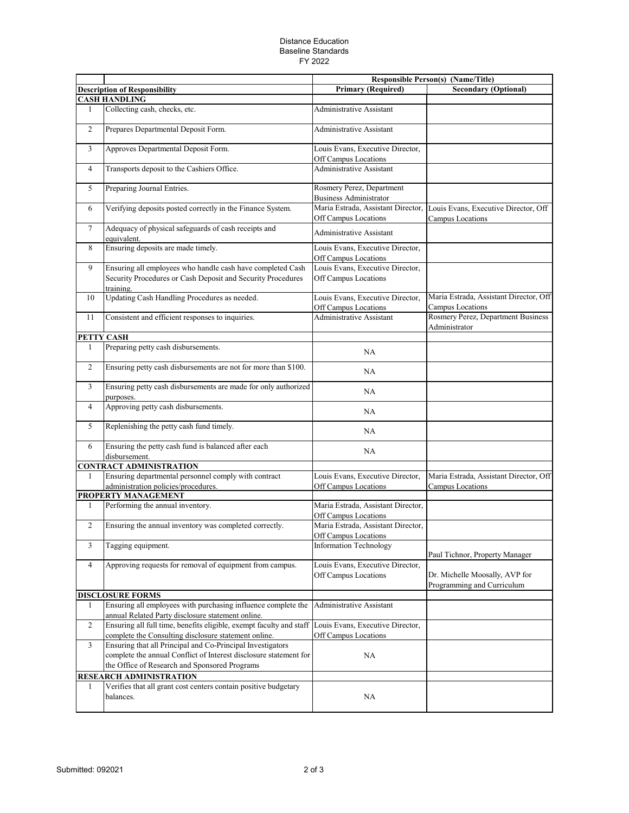## Distance Education Baseline Standards FY 2022

|                |                                                                                                                                                                                  |                                                              | <b>Responsible Person(s) (Name/Title)</b>                    |
|----------------|----------------------------------------------------------------------------------------------------------------------------------------------------------------------------------|--------------------------------------------------------------|--------------------------------------------------------------|
|                | <b>Description of Responsibility</b>                                                                                                                                             | <b>Primary (Required)</b>                                    | <b>Secondary (Optional)</b>                                  |
|                | <b>CASH HANDLING</b>                                                                                                                                                             |                                                              |                                                              |
| 1              | Collecting cash, checks, etc.                                                                                                                                                    | Administrative Assistant                                     |                                                              |
| $\overline{c}$ | Prepares Departmental Deposit Form.                                                                                                                                              | Administrative Assistant                                     |                                                              |
| 3              | Approves Departmental Deposit Form.                                                                                                                                              | Louis Evans, Executive Director,<br>Off Campus Locations     |                                                              |
| 4              | Transports deposit to the Cashiers Office.                                                                                                                                       | <b>Administrative Assistant</b>                              |                                                              |
| 5              | Preparing Journal Entries.                                                                                                                                                       | Rosmery Perez, Department<br><b>Business Administrator</b>   |                                                              |
| 6              | Verifying deposits posted correctly in the Finance System.                                                                                                                       | Maria Estrada, Assistant Director,  <br>Off Campus Locations | Louis Evans, Executive Director, Off<br>Campus Locations     |
| $\overline{7}$ | Adequacy of physical safeguards of cash receipts and<br>equivalent.                                                                                                              | Administrative Assistant                                     |                                                              |
| 8              | Ensuring deposits are made timely.                                                                                                                                               | Louis Evans, Executive Director,<br>Off Campus Locations     |                                                              |
| 9              | Ensuring all employees who handle cash have completed Cash<br>Security Procedures or Cash Deposit and Security Procedures<br>training.                                           | Louis Evans, Executive Director,<br>Off Campus Locations     |                                                              |
| 10             | Updating Cash Handling Procedures as needed.                                                                                                                                     | Louis Evans, Executive Director,<br>Off Campus Locations     | Maria Estrada, Assistant Director, Off<br>Campus Locations   |
| 11             | Consistent and efficient responses to inquiries.                                                                                                                                 | Administrative Assistant                                     | Rosmery Perez, Department Business<br>Administrator          |
|                | PETTY CASH                                                                                                                                                                       |                                                              |                                                              |
| 1              | Preparing petty cash disbursements.                                                                                                                                              | NA                                                           |                                                              |
| $\overline{c}$ | Ensuring petty cash disbursements are not for more than \$100.                                                                                                                   | NA                                                           |                                                              |
| 3              | Ensuring petty cash disbursements are made for only authorized<br>purposes.                                                                                                      | NA                                                           |                                                              |
| $\overline{4}$ | Approving petty cash disbursements.                                                                                                                                              | NA                                                           |                                                              |
| 5              | Replenishing the petty cash fund timely.                                                                                                                                         | <b>NA</b>                                                    |                                                              |
| 6              | Ensuring the petty cash fund is balanced after each<br>disbursement.                                                                                                             | NA                                                           |                                                              |
|                | <b>CONTRACT ADMINISTRATION</b>                                                                                                                                                   |                                                              |                                                              |
| 1              | Ensuring departmental personnel comply with contract<br>administration policies/procedures.                                                                                      | Louis Evans, Executive Director,<br>Off Campus Locations     | Maria Estrada, Assistant Director, Off<br>Campus Locations   |
|                | PROPERTY MANAGEMENT                                                                                                                                                              |                                                              |                                                              |
| 1              | Performing the annual inventory.                                                                                                                                                 | Maria Estrada, Assistant Director,<br>Off Campus Locations   |                                                              |
| $\mathfrak{2}$ | Ensuring the annual inventory was completed correctly.                                                                                                                           | Maria Estrada, Assistant Director,<br>Off Campus Locations   |                                                              |
| 3              | Tagging equipment.                                                                                                                                                               | <b>Information Technology</b>                                | Paul Tichnor, Property Manager                               |
| $\overline{4}$ | Approving requests for removal of equipment from campus.                                                                                                                         | Louis Evans, Executive Director,<br>Off Campus Locations     | Dr. Michelle Moosally, AVP for<br>Programming and Curriculum |
|                | <b>DISCLOSURE FORMS</b>                                                                                                                                                          |                                                              |                                                              |
| 1              | Ensuring all employees with purchasing influence complete the<br>annual Related Party disclosure statement online.                                                               | Administrative Assistant                                     |                                                              |
| $\overline{c}$ | Ensuring all full time, benefits eligible, exempt faculty and staff<br>complete the Consulting disclosure statement online.                                                      | Louis Evans, Executive Director,<br>Off Campus Locations     |                                                              |
| 3              | Ensuring that all Principal and Co-Principal Investigators<br>complete the annual Conflict of Interest disclosure statement for<br>the Office of Research and Sponsored Programs | NA                                                           |                                                              |
|                | RESEARCH ADMINISTRATION                                                                                                                                                          |                                                              |                                                              |
| 1              | Verifies that all grant cost centers contain positive budgetary<br>balances.                                                                                                     | NA                                                           |                                                              |